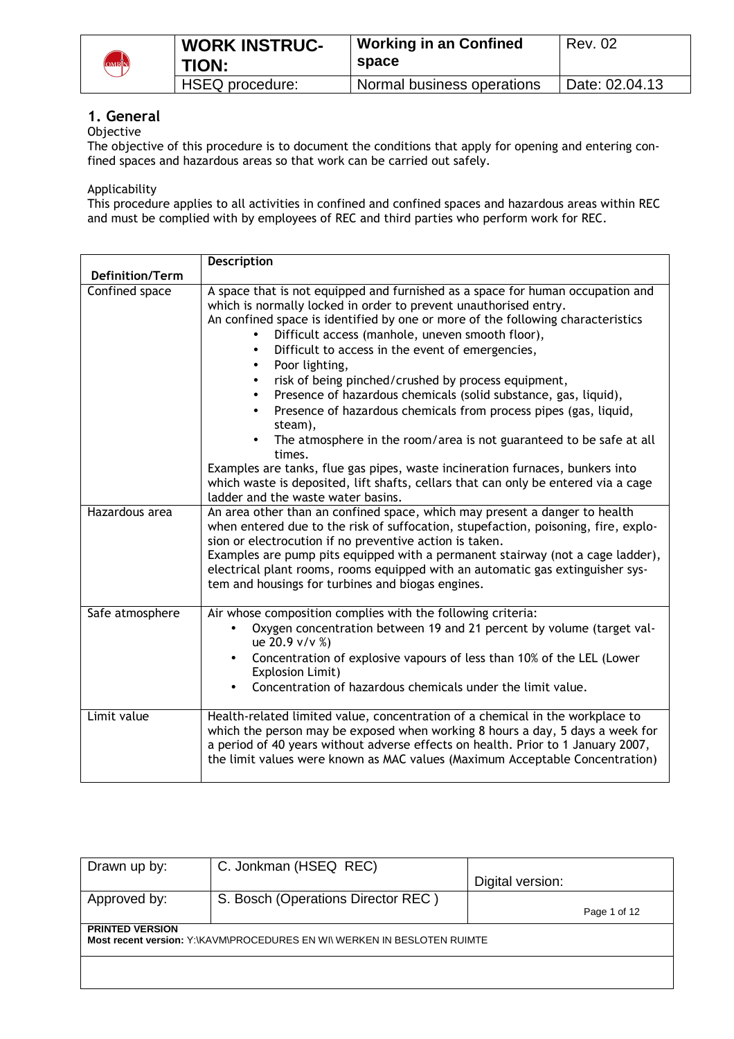

| <b>WORK INSTRUC-</b><br><b>TION:</b> | <b>Working in an Confined</b><br>space | <b>Rev. 02</b> |
|--------------------------------------|----------------------------------------|----------------|
| <b>HSEQ</b> procedure:               | Normal business operations             | Date: 02.04.13 |
|                                      |                                        |                |

# **1. General**

# **Objective**

The objective of this procedure is to document the conditions that apply for opening and entering confined spaces and hazardous areas so that work can be carried out safely.

Applicability

This procedure applies to all activities in confined and confined spaces and hazardous areas within REC and must be complied with by employees of REC and third parties who perform work for REC.

|                        | Description                                                                                                                                                                                                                                                                                                                                                                                                                                                                                                                                                                                                                                                                                                                                                                                                                                                                                       |
|------------------------|---------------------------------------------------------------------------------------------------------------------------------------------------------------------------------------------------------------------------------------------------------------------------------------------------------------------------------------------------------------------------------------------------------------------------------------------------------------------------------------------------------------------------------------------------------------------------------------------------------------------------------------------------------------------------------------------------------------------------------------------------------------------------------------------------------------------------------------------------------------------------------------------------|
| <b>Definition/Term</b> |                                                                                                                                                                                                                                                                                                                                                                                                                                                                                                                                                                                                                                                                                                                                                                                                                                                                                                   |
| Confined space         | A space that is not equipped and furnished as a space for human occupation and<br>which is normally locked in order to prevent unauthorised entry.<br>An confined space is identified by one or more of the following characteristics<br>Difficult access (manhole, uneven smooth floor),<br>Difficult to access in the event of emergencies,<br>$\bullet$<br>Poor lighting,<br>$\bullet$<br>risk of being pinched/crushed by process equipment,<br>$\bullet$<br>Presence of hazardous chemicals (solid substance, gas, liquid),<br>$\bullet$<br>Presence of hazardous chemicals from process pipes (gas, liquid,<br>$\bullet$<br>steam),<br>The atmosphere in the room/area is not guaranteed to be safe at all<br>times.<br>Examples are tanks, flue gas pipes, waste incineration furnaces, bunkers into<br>which waste is deposited, lift shafts, cellars that can only be entered via a cage |
| Hazardous area         | ladder and the waste water basins.<br>An area other than an confined space, which may present a danger to health                                                                                                                                                                                                                                                                                                                                                                                                                                                                                                                                                                                                                                                                                                                                                                                  |
|                        | when entered due to the risk of suffocation, stupefaction, poisoning, fire, explo-<br>sion or electrocution if no preventive action is taken.<br>Examples are pump pits equipped with a permanent stairway (not a cage ladder),<br>electrical plant rooms, rooms equipped with an automatic gas extinguisher sys-<br>tem and housings for turbines and biogas engines.                                                                                                                                                                                                                                                                                                                                                                                                                                                                                                                            |
| Safe atmosphere        | Air whose composition complies with the following criteria:<br>Oxygen concentration between 19 and 21 percent by volume (target val-<br>ue 20.9 v/v %)<br>Concentration of explosive vapours of less than 10% of the LEL (Lower<br>$\bullet$<br>Explosion Limit)<br>Concentration of hazardous chemicals under the limit value.                                                                                                                                                                                                                                                                                                                                                                                                                                                                                                                                                                   |
| Limit value            | Health-related limited value, concentration of a chemical in the workplace to<br>which the person may be exposed when working 8 hours a day, 5 days a week for<br>a period of 40 years without adverse effects on health. Prior to 1 January 2007,<br>the limit values were known as MAC values (Maximum Acceptable Concentration)                                                                                                                                                                                                                                                                                                                                                                                                                                                                                                                                                                |

| Drawn up by:           | C. Jonkman (HSEQ REC)                                                    |                  |
|------------------------|--------------------------------------------------------------------------|------------------|
|                        |                                                                          | Digital version: |
| Approved by:           | S. Bosch (Operations Director REC)                                       |                  |
|                        |                                                                          | Page 1 of 12     |
| <b>PRINTED VERSION</b> |                                                                          |                  |
|                        | Most recent version: Y:\KAVM\PROCEDURES EN WI\ WERKEN IN BESLOTEN RUIMTE |                  |
|                        |                                                                          |                  |
|                        |                                                                          |                  |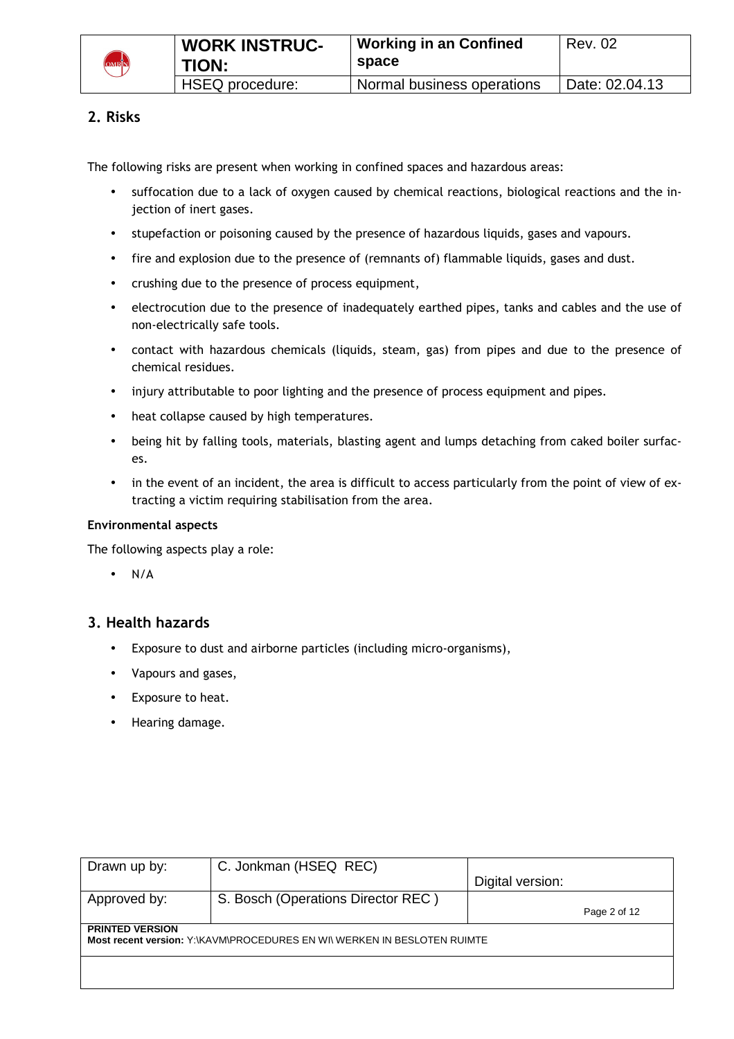

# **2. Risks**

The following risks are present when working in confined spaces and hazardous areas:

- suffocation due to a lack of oxygen caused by chemical reactions, biological reactions and the injection of inert gases.
- stupefaction or poisoning caused by the presence of hazardous liquids, gases and vapours.
- fire and explosion due to the presence of (remnants of) flammable liquids, gases and dust.
- crushing due to the presence of process equipment,
- electrocution due to the presence of inadequately earthed pipes, tanks and cables and the use of non-electrically safe tools.
- contact with hazardous chemicals (liquids, steam, gas) from pipes and due to the presence of chemical residues.
- injury attributable to poor lighting and the presence of process equipment and pipes.
- heat collapse caused by high temperatures.
- being hit by falling tools, materials, blasting agent and lumps detaching from caked boiler surfaces.
- in the event of an incident, the area is difficult to access particularly from the point of view of extracting a victim requiring stabilisation from the area.

#### **Environmental aspects**

The following aspects play a role:

• N/A

## **3. Health hazards**

- Exposure to dust and airborne particles (including micro-organisms),
- Vapours and gases,
- Exposure to heat.
- Hearing damage.

| Drawn up by:           | C. Jonkman (HSEQ REC)                                                    |                  |
|------------------------|--------------------------------------------------------------------------|------------------|
|                        |                                                                          | Digital version: |
| Approved by:           | S. Bosch (Operations Director REC)                                       |                  |
|                        |                                                                          | Page 2 of 12     |
| <b>PRINTED VERSION</b> |                                                                          |                  |
|                        | Most recent version: Y:\KAVM\PROCEDURES EN WI\ WERKEN IN BESLOTEN RUIMTE |                  |
|                        |                                                                          |                  |
|                        |                                                                          |                  |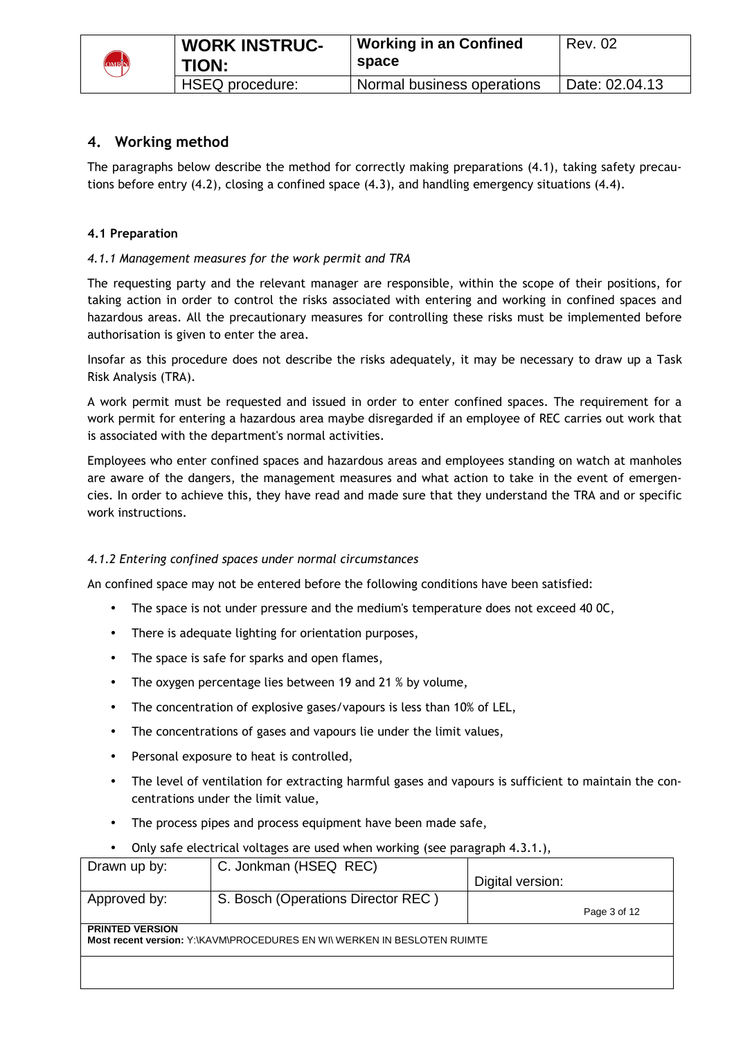

# **4. Working method**

The paragraphs below describe the method for correctly making preparations (4.1), taking safety precautions before entry (4.2), closing a confined space (4.3), and handling emergency situations (4.4).

## **4.1 Preparation**

## *4.1.1 Management measures for the work permit and TRA*

The requesting party and the relevant manager are responsible, within the scope of their positions, for taking action in order to control the risks associated with entering and working in confined spaces and hazardous areas. All the precautionary measures for controlling these risks must be implemented before authorisation is given to enter the area.

Insofar as this procedure does not describe the risks adequately, it may be necessary to draw up a Task Risk Analysis (TRA).

A work permit must be requested and issued in order to enter confined spaces. The requirement for a work permit for entering a hazardous area maybe disregarded if an employee of REC carries out work that is associated with the department's normal activities.

Employees who enter confined spaces and hazardous areas and employees standing on watch at manholes are aware of the dangers, the management measures and what action to take in the event of emergencies. In order to achieve this, they have read and made sure that they understand the TRA and or specific work instructions.

#### *4.1.2 Entering confined spaces under normal circumstances*

An confined space may not be entered before the following conditions have been satisfied:

- The space is not under pressure and the medium's temperature does not exceed 40 0C,
- There is adequate lighting for orientation purposes,
- The space is safe for sparks and open flames,
- The oxygen percentage lies between 19 and 21 % by volume,
- The concentration of explosive gases/vapours is less than 10% of LEL,
- The concentrations of gases and vapours lie under the limit values,
- Personal exposure to heat is controlled,
- The level of ventilation for extracting harmful gases and vapours is sufficient to maintain the concentrations under the limit value,
- The process pipes and process equipment have been made safe,
- Drawn up by: C. Jonkman (HSEQ REC) Digital version: Approved by: S. Bosch (Operations Director REC) Page 3 of 12 **PRINTED VERSION Most recent version:** Y:\KAVM\PROCEDURES EN WI\ WERKEN IN BESLOTEN RUIMTE • Only safe electrical voltages are used when working (see paragraph 4.3.1.),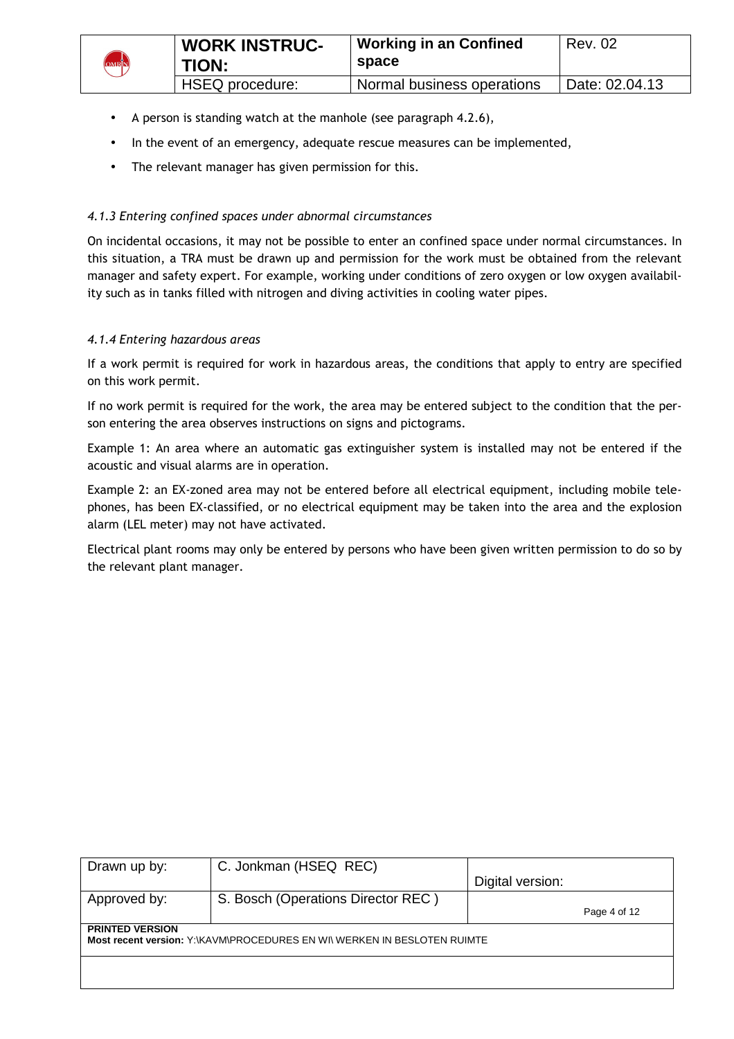

- A person is standing watch at the manhole (see paragraph 4.2.6),
- In the event of an emergency, adequate rescue measures can be implemented,
- The relevant manager has given permission for this.

#### *4.1.3 Entering confined spaces under abnormal circumstances*

On incidental occasions, it may not be possible to enter an confined space under normal circumstances. In this situation, a TRA must be drawn up and permission for the work must be obtained from the relevant manager and safety expert. For example, working under conditions of zero oxygen or low oxygen availability such as in tanks filled with nitrogen and diving activities in cooling water pipes.

#### *4.1.4 Entering hazardous areas*

If a work permit is required for work in hazardous areas, the conditions that apply to entry are specified on this work permit.

If no work permit is required for the work, the area may be entered subject to the condition that the person entering the area observes instructions on signs and pictograms.

Example 1: An area where an automatic gas extinguisher system is installed may not be entered if the acoustic and visual alarms are in operation.

Example 2: an EX-zoned area may not be entered before all electrical equipment, including mobile telephones, has been EX-classified, or no electrical equipment may be taken into the area and the explosion alarm (LEL meter) may not have activated.

Electrical plant rooms may only be entered by persons who have been given written permission to do so by the relevant plant manager.

| Drawn up by:           | C. Jonkman (HSEQ REC)                                                    |                  |              |
|------------------------|--------------------------------------------------------------------------|------------------|--------------|
|                        |                                                                          | Digital version: |              |
| Approved by:           | S. Bosch (Operations Director REC)                                       |                  |              |
|                        |                                                                          |                  | Page 4 of 12 |
| <b>PRINTED VERSION</b> |                                                                          |                  |              |
|                        | Most recent version: Y:\KAVM\PROCEDURES EN WI\ WERKEN IN BESLOTEN RUIMTE |                  |              |
|                        |                                                                          |                  |              |
|                        |                                                                          |                  |              |
|                        |                                                                          |                  |              |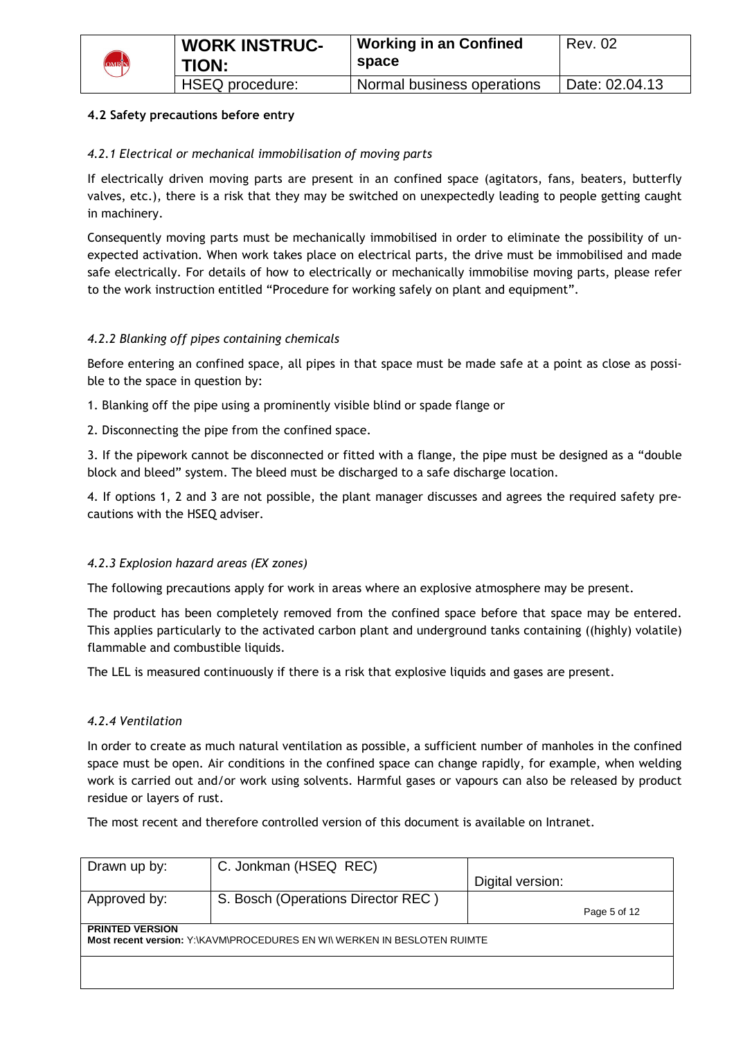

# **4.2 Safety precautions before entry**

## *4.2.1 Electrical or mechanical immobilisation of moving parts*

If electrically driven moving parts are present in an confined space (agitators, fans, beaters, butterfly valves, etc.), there is a risk that they may be switched on unexpectedly leading to people getting caught in machinery.

Consequently moving parts must be mechanically immobilised in order to eliminate the possibility of unexpected activation. When work takes place on electrical parts, the drive must be immobilised and made safe electrically. For details of how to electrically or mechanically immobilise moving parts, please refer to the work instruction entitled "Procedure for working safely on plant and equipment".

## *4.2.2 Blanking off pipes containing chemicals*

Before entering an confined space, all pipes in that space must be made safe at a point as close as possible to the space in question by:

1. Blanking off the pipe using a prominently visible blind or spade flange or

2. Disconnecting the pipe from the confined space.

3. If the pipework cannot be disconnected or fitted with a flange, the pipe must be designed as a "double block and bleed" system. The bleed must be discharged to a safe discharge location.

4. If options 1, 2 and 3 are not possible, the plant manager discusses and agrees the required safety precautions with the HSEQ adviser.

#### *4.2.3 Explosion hazard areas (EX zones)*

The following precautions apply for work in areas where an explosive atmosphere may be present.

The product has been completely removed from the confined space before that space may be entered. This applies particularly to the activated carbon plant and underground tanks containing ((highly) volatile) flammable and combustible liquids.

The LEL is measured continuously if there is a risk that explosive liquids and gases are present.

#### *4.2.4 Ventilation*

In order to create as much natural ventilation as possible, a sufficient number of manholes in the confined space must be open. Air conditions in the confined space can change rapidly, for example, when welding work is carried out and/or work using solvents. Harmful gases or vapours can also be released by product residue or layers of rust.

The most recent and therefore controlled version of this document is available on Intranet.

| Drawn up by:           | C. Jonkman (HSEQ REC)                                                    |                  |  |  |
|------------------------|--------------------------------------------------------------------------|------------------|--|--|
|                        |                                                                          | Digital version: |  |  |
| Approved by:           | S. Bosch (Operations Director REC)                                       |                  |  |  |
|                        |                                                                          | Page 5 of 12     |  |  |
| <b>PRINTED VERSION</b> |                                                                          |                  |  |  |
|                        | Most recent version: Y:\KAVM\PROCEDURES EN WI\ WERKEN IN BESLOTEN RUIMTE |                  |  |  |
|                        |                                                                          |                  |  |  |
|                        |                                                                          |                  |  |  |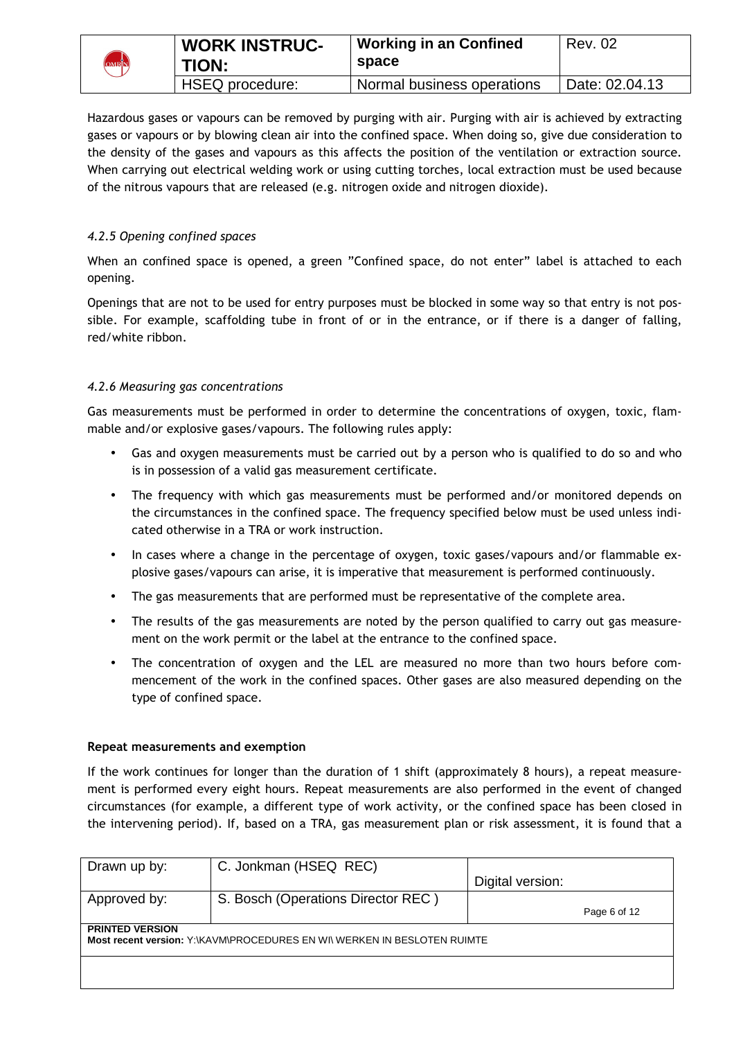|       | <b>WORK INSTRUC-</b> | <b>Working in an Confined</b> | <b>Rev. 02</b> |
|-------|----------------------|-------------------------------|----------------|
| OMRIN | TION:                | space                         |                |
|       | HSEQ procedure:      | Normal business operations    | Date: 02.04.13 |

Hazardous gases or vapours can be removed by purging with air. Purging with air is achieved by extracting gases or vapours or by blowing clean air into the confined space. When doing so, give due consideration to the density of the gases and vapours as this affects the position of the ventilation or extraction source. When carrying out electrical welding work or using cutting torches, local extraction must be used because of the nitrous vapours that are released (e.g. nitrogen oxide and nitrogen dioxide).

# *4.2.5 Opening confined spaces*

When an confined space is opened, a green "Confined space, do not enter" label is attached to each opening.

Openings that are not to be used for entry purposes must be blocked in some way so that entry is not possible. For example, scaffolding tube in front of or in the entrance, or if there is a danger of falling, red/white ribbon.

# *4.2.6 Measuring gas concentrations*

Gas measurements must be performed in order to determine the concentrations of oxygen, toxic, flammable and/or explosive gases/vapours. The following rules apply:

- Gas and oxygen measurements must be carried out by a person who is qualified to do so and who is in possession of a valid gas measurement certificate.
- The frequency with which gas measurements must be performed and/or monitored depends on the circumstances in the confined space. The frequency specified below must be used unless indicated otherwise in a TRA or work instruction.
- In cases where a change in the percentage of oxygen, toxic gases/vapours and/or flammable explosive gases/vapours can arise, it is imperative that measurement is performed continuously.
- The gas measurements that are performed must be representative of the complete area.
- The results of the gas measurements are noted by the person qualified to carry out gas measurement on the work permit or the label at the entrance to the confined space.
- The concentration of oxygen and the LEL are measured no more than two hours before commencement of the work in the confined spaces. Other gases are also measured depending on the type of confined space.

#### **Repeat measurements and exemption**

If the work continues for longer than the duration of 1 shift (approximately 8 hours), a repeat measurement is performed every eight hours. Repeat measurements are also performed in the event of changed circumstances (for example, a different type of work activity, or the confined space has been closed in the intervening period). If, based on a TRA, gas measurement plan or risk assessment, it is found that a

| Drawn up by:                                                                                       | C. Jonkman (HSEQ REC)              |                  |              |
|----------------------------------------------------------------------------------------------------|------------------------------------|------------------|--------------|
|                                                                                                    |                                    | Digital version: |              |
| Approved by:                                                                                       | S. Bosch (Operations Director REC) |                  |              |
|                                                                                                    |                                    |                  | Page 6 of 12 |
| <b>PRINTED VERSION</b><br>Most recent version: Y:\KAVM\PROCEDURES EN WI\ WERKEN IN BESLOTEN RUIMTE |                                    |                  |              |
|                                                                                                    |                                    |                  |              |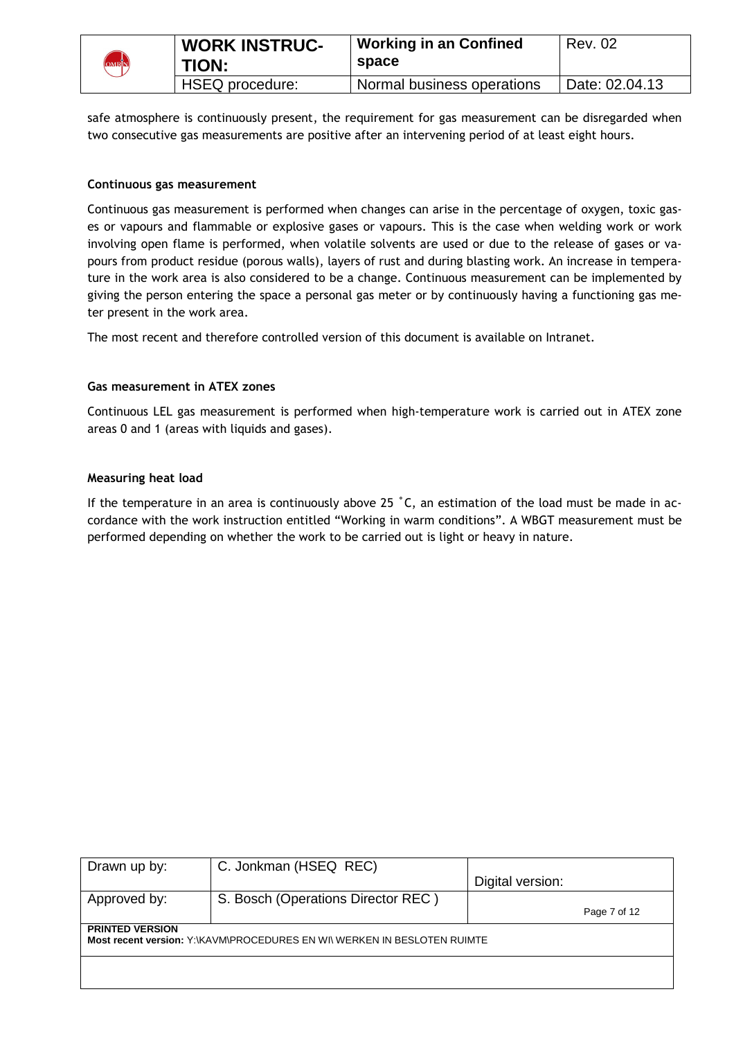

| <b>WORK INSTRUC-</b><br>TION: | <b>Working in an Confined</b><br>space | Rev. 02        |
|-------------------------------|----------------------------------------|----------------|
| HSEQ procedure:               | Normal business operations             | Date: 02.04.13 |

safe atmosphere is continuously present, the requirement for gas measurement can be disregarded when two consecutive gas measurements are positive after an intervening period of at least eight hours.

#### **Continuous gas measurement**

Continuous gas measurement is performed when changes can arise in the percentage of oxygen, toxic gases or vapours and flammable or explosive gases or vapours. This is the case when welding work or work involving open flame is performed, when volatile solvents are used or due to the release of gases or vapours from product residue (porous walls), layers of rust and during blasting work. An increase in temperature in the work area is also considered to be a change. Continuous measurement can be implemented by giving the person entering the space a personal gas meter or by continuously having a functioning gas meter present in the work area.

The most recent and therefore controlled version of this document is available on Intranet.

#### **Gas measurement in ATEX zones**

Continuous LEL gas measurement is performed when high-temperature work is carried out in ATEX zone areas 0 and 1 (areas with liquids and gases).

#### **Measuring heat load**

If the temperature in an area is continuously above 25 ˚C, an estimation of the load must be made in accordance with the work instruction entitled "Working in warm conditions". A WBGT measurement must be performed depending on whether the work to be carried out is light or heavy in nature.

| Drawn up by:           | C. Jonkman (HSEQ REC)                                                    |                  |
|------------------------|--------------------------------------------------------------------------|------------------|
|                        |                                                                          | Digital version: |
| Approved by:           | S. Bosch (Operations Director REC)                                       |                  |
|                        |                                                                          | Page 7 of 12     |
| <b>PRINTED VERSION</b> |                                                                          |                  |
|                        | Most recent version: Y:\KAVM\PROCEDURES EN WI\ WERKEN IN BESLOTEN RUIMTE |                  |
|                        |                                                                          |                  |
|                        |                                                                          |                  |
|                        |                                                                          |                  |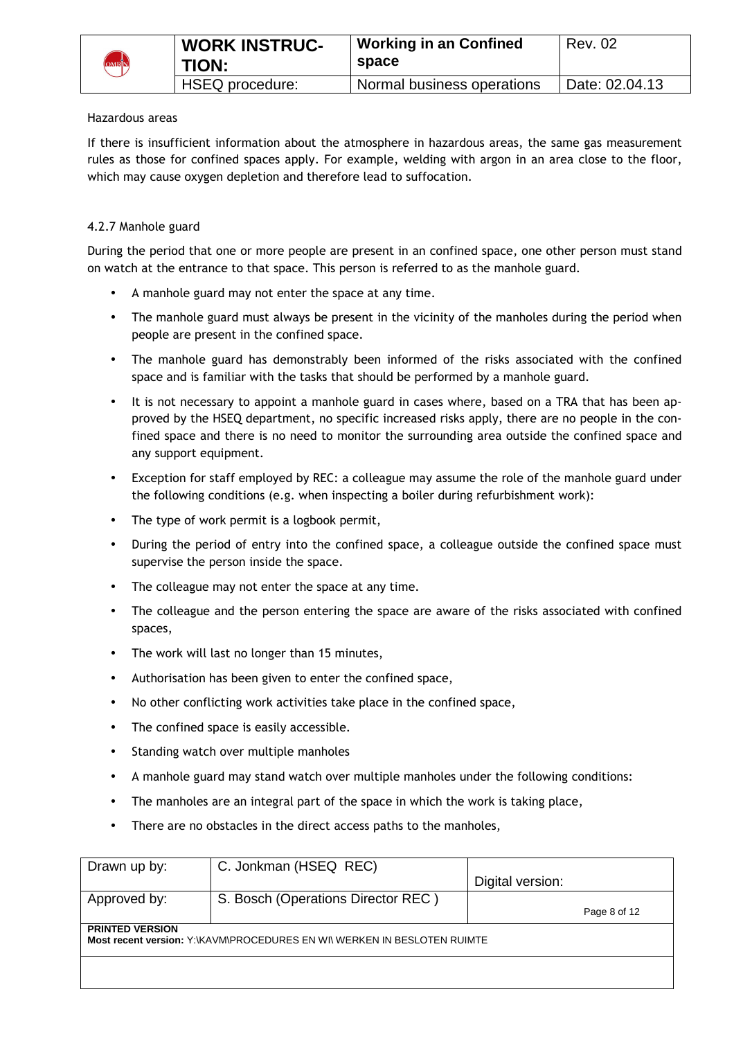

#### Hazardous areas

If there is insufficient information about the atmosphere in hazardous areas, the same gas measurement rules as those for confined spaces apply. For example, welding with argon in an area close to the floor, which may cause oxygen depletion and therefore lead to suffocation.

## 4.2.7 Manhole guard

During the period that one or more people are present in an confined space, one other person must stand on watch at the entrance to that space. This person is referred to as the manhole guard.

- A manhole guard may not enter the space at any time.
- The manhole guard must always be present in the vicinity of the manholes during the period when people are present in the confined space.
- The manhole guard has demonstrably been informed of the risks associated with the confined space and is familiar with the tasks that should be performed by a manhole guard.
- It is not necessary to appoint a manhole guard in cases where, based on a TRA that has been approved by the HSEQ department, no specific increased risks apply, there are no people in the confined space and there is no need to monitor the surrounding area outside the confined space and any support equipment.
- Exception for staff employed by REC: a colleague may assume the role of the manhole guard under the following conditions (e.g. when inspecting a boiler during refurbishment work):
- The type of work permit is a logbook permit,
- During the period of entry into the confined space, a colleague outside the confined space must supervise the person inside the space.
- The colleague may not enter the space at any time.
- The colleague and the person entering the space are aware of the risks associated with confined spaces,
- The work will last no longer than 15 minutes,
- Authorisation has been given to enter the confined space,
- No other conflicting work activities take place in the confined space,
- The confined space is easily accessible.
- Standing watch over multiple manholes
- A manhole guard may stand watch over multiple manholes under the following conditions:
- The manholes are an integral part of the space in which the work is taking place,
- There are no obstacles in the direct access paths to the manholes,

| C. Jonkman (HSEQ REC)              |                  |                                                                          |
|------------------------------------|------------------|--------------------------------------------------------------------------|
|                                    | Digital version: |                                                                          |
| S. Bosch (Operations Director REC) |                  |                                                                          |
|                                    |                  | Page 8 of 12                                                             |
|                                    |                  |                                                                          |
|                                    |                  |                                                                          |
|                                    |                  |                                                                          |
|                                    |                  |                                                                          |
|                                    |                  | Most recent version: Y:\KAVM\PROCEDURES EN WI\ WERKEN IN BESLOTEN RUIMTE |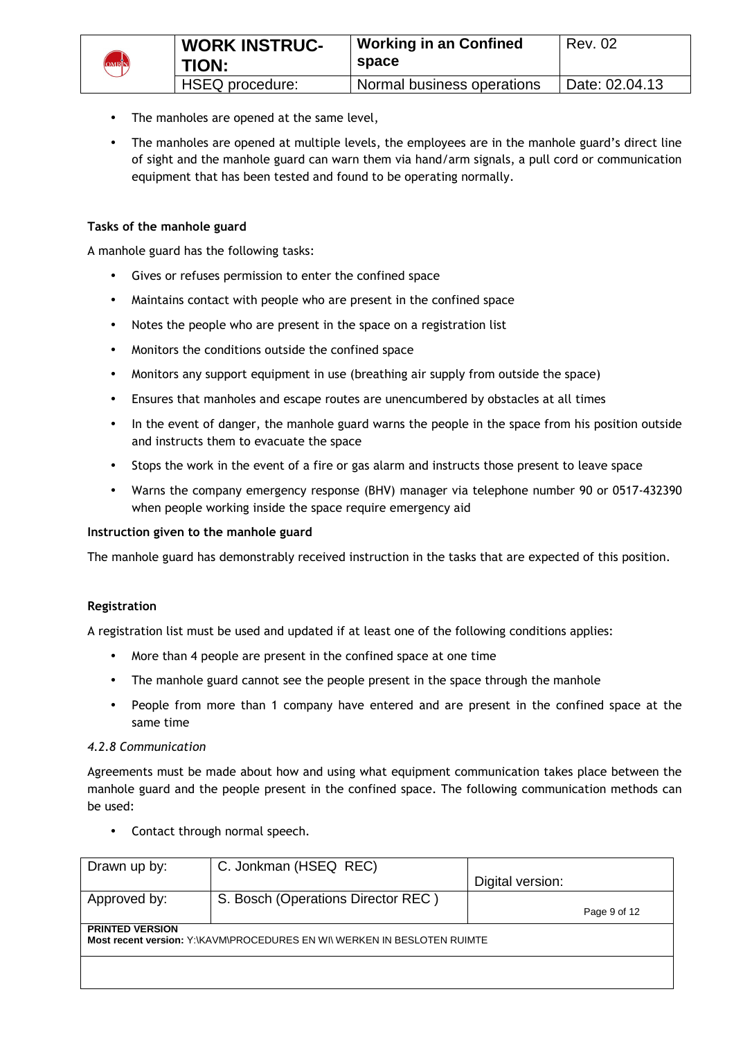

- The manholes are opened at the same level,
- The manholes are opened at multiple levels, the employees are in the manhole guard's direct line of sight and the manhole guard can warn them via hand/arm signals, a pull cord or communication equipment that has been tested and found to be operating normally.

## **Tasks of the manhole guard**

A manhole guard has the following tasks:

- Gives or refuses permission to enter the confined space
- Maintains contact with people who are present in the confined space
- Notes the people who are present in the space on a registration list
- Monitors the conditions outside the confined space
- Monitors any support equipment in use (breathing air supply from outside the space)
- Ensures that manholes and escape routes are unencumbered by obstacles at all times
- In the event of danger, the manhole guard warns the people in the space from his position outside and instructs them to evacuate the space
- Stops the work in the event of a fire or gas alarm and instructs those present to leave space
- Warns the company emergency response (BHV) manager via telephone number 90 or 0517-432390 when people working inside the space require emergency aid

#### **Instruction given to the manhole guard**

The manhole guard has demonstrably received instruction in the tasks that are expected of this position.

#### **Registration**

A registration list must be used and updated if at least one of the following conditions applies:

- More than 4 people are present in the confined space at one time
- The manhole guard cannot see the people present in the space through the manhole
- People from more than 1 company have entered and are present in the confined space at the same time

#### *4.2.8 Communication*

Agreements must be made about how and using what equipment communication takes place between the manhole guard and the people present in the confined space. The following communication methods can be used:

• Contact through normal speech.

| Drawn up by:                                                                                       | C. Jonkman (HSEQ REC)              |                  |              |
|----------------------------------------------------------------------------------------------------|------------------------------------|------------------|--------------|
|                                                                                                    |                                    | Digital version: |              |
| Approved by:                                                                                       | S. Bosch (Operations Director REC) |                  |              |
|                                                                                                    |                                    |                  | Page 9 of 12 |
| <b>PRINTED VERSION</b><br>Most recent version: Y:\KAVM\PROCEDURES EN WI\ WERKEN IN BESLOTEN RUIMTE |                                    |                  |              |
|                                                                                                    |                                    |                  |              |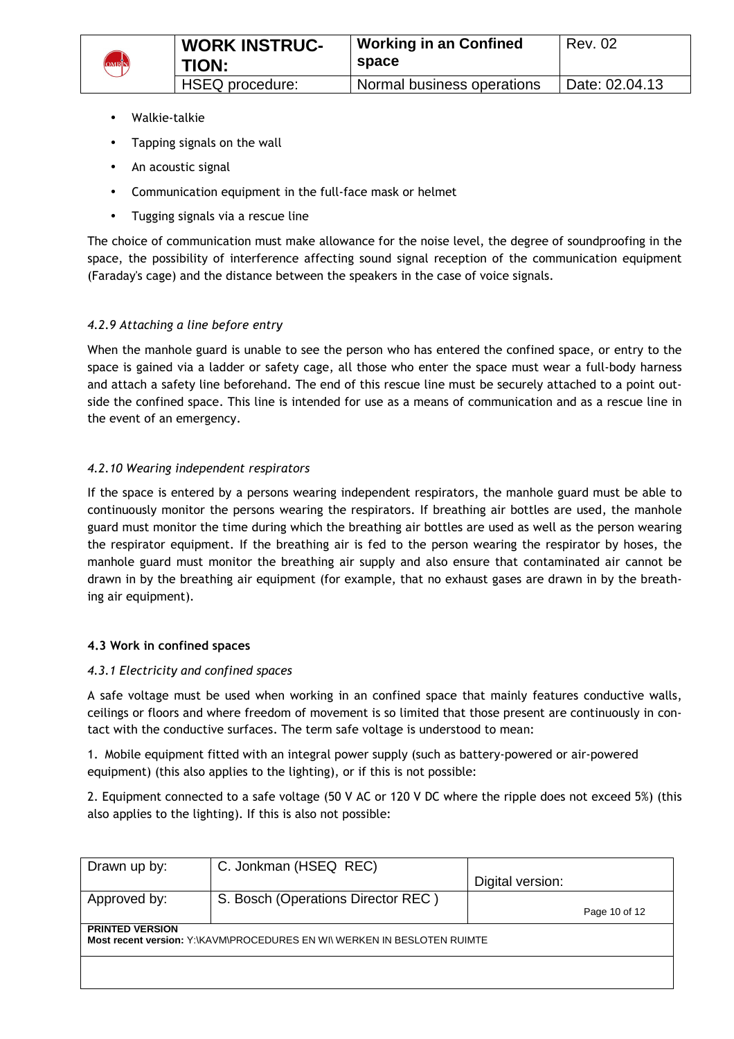

- Walkie-talkie
- Tapping signals on the wall
- An acoustic signal
- Communication equipment in the full-face mask or helmet
- Tugging signals via a rescue line

The choice of communication must make allowance for the noise level, the degree of soundproofing in the space, the possibility of interference affecting sound signal reception of the communication equipment (Faraday's cage) and the distance between the speakers in the case of voice signals.

#### *4.2.9 Attaching a line before entry*

When the manhole guard is unable to see the person who has entered the confined space, or entry to the space is gained via a ladder or safety cage, all those who enter the space must wear a full-body harness and attach a safety line beforehand. The end of this rescue line must be securely attached to a point outside the confined space. This line is intended for use as a means of communication and as a rescue line in the event of an emergency.

## *4.2.10 Wearing independent respirators*

If the space is entered by a persons wearing independent respirators, the manhole guard must be able to continuously monitor the persons wearing the respirators. If breathing air bottles are used, the manhole guard must monitor the time during which the breathing air bottles are used as well as the person wearing the respirator equipment. If the breathing air is fed to the person wearing the respirator by hoses, the manhole guard must monitor the breathing air supply and also ensure that contaminated air cannot be drawn in by the breathing air equipment (for example, that no exhaust gases are drawn in by the breathing air equipment).

#### **4.3 Work in confined spaces**

#### *4.3.1 Electricity and confined spaces*

A safe voltage must be used when working in an confined space that mainly features conductive walls, ceilings or floors and where freedom of movement is so limited that those present are continuously in contact with the conductive surfaces. The term safe voltage is understood to mean:

1. Mobile equipment fitted with an integral power supply (such as battery-powered or air-powered equipment) (this also applies to the lighting), or if this is not possible:

2. Equipment connected to a safe voltage (50 V AC or 120 V DC where the ripple does not exceed 5%) (this also applies to the lighting). If this is also not possible:

| Drawn up by:                                                                                       | C. Jonkman (HSEQ REC)              |                  |               |  |  |  |
|----------------------------------------------------------------------------------------------------|------------------------------------|------------------|---------------|--|--|--|
|                                                                                                    |                                    | Digital version: |               |  |  |  |
| Approved by:                                                                                       | S. Bosch (Operations Director REC) |                  |               |  |  |  |
|                                                                                                    |                                    |                  | Page 10 of 12 |  |  |  |
| <b>PRINTED VERSION</b><br>Most recent version: Y:\KAVM\PROCEDURES EN WI\ WERKEN IN BESLOTEN RUIMTE |                                    |                  |               |  |  |  |
|                                                                                                    |                                    |                  |               |  |  |  |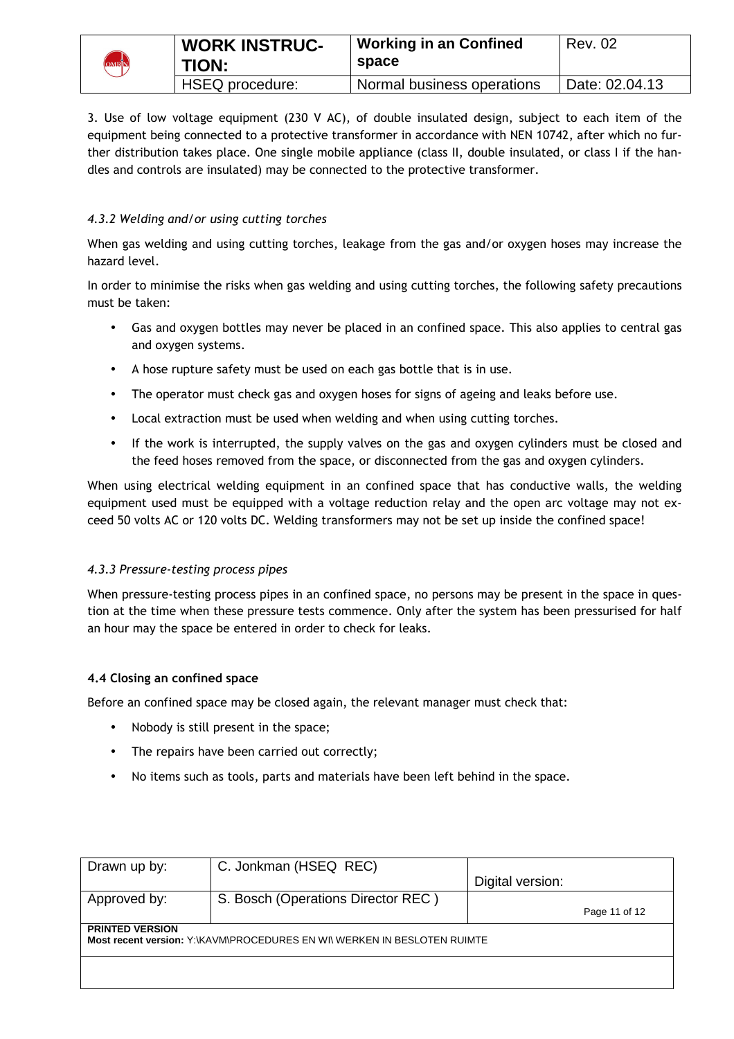|                   | <b>WORK INSTRUC-</b> | <b>Working in an Confined</b> | Rev. 02        |
|-------------------|----------------------|-------------------------------|----------------|
| <b>DMRIN</b><br>U | <b>TION:</b>         | space                         |                |
|                   | HSEQ procedure:      | Normal business operations    | Date: 02.04.13 |

3. Use of low voltage equipment (230 V AC), of double insulated design, subject to each item of the equipment being connected to a protective transformer in accordance with NEN 10742, after which no further distribution takes place. One single mobile appliance (class II, double insulated, or class I if the handles and controls are insulated) may be connected to the protective transformer.

# *4.3.2 Welding and/or using cutting torches*

When gas welding and using cutting torches, leakage from the gas and/or oxygen hoses may increase the hazard level.

In order to minimise the risks when gas welding and using cutting torches, the following safety precautions must be taken:

- Gas and oxygen bottles may never be placed in an confined space. This also applies to central gas and oxygen systems.
- A hose rupture safety must be used on each gas bottle that is in use.
- The operator must check gas and oxygen hoses for signs of ageing and leaks before use.
- Local extraction must be used when welding and when using cutting torches.
- If the work is interrupted, the supply valves on the gas and oxygen cylinders must be closed and the feed hoses removed from the space, or disconnected from the gas and oxygen cylinders.

When using electrical welding equipment in an confined space that has conductive walls, the welding equipment used must be equipped with a voltage reduction relay and the open arc voltage may not exceed 50 volts AC or 120 volts DC. Welding transformers may not be set up inside the confined space!

#### *4.3.3 Pressure-testing process pipes*

When pressure-testing process pipes in an confined space, no persons may be present in the space in question at the time when these pressure tests commence. Only after the system has been pressurised for half an hour may the space be entered in order to check for leaks.

#### **4.4 Closing an confined space**

Before an confined space may be closed again, the relevant manager must check that:

- Nobody is still present in the space;
- The repairs have been carried out correctly;
- No items such as tools, parts and materials have been left behind in the space.

| Drawn up by:                                                             | C. Jonkman (HSEQ REC)              |                  |               |  |  |  |
|--------------------------------------------------------------------------|------------------------------------|------------------|---------------|--|--|--|
|                                                                          |                                    | Digital version: |               |  |  |  |
| Approved by:                                                             | S. Bosch (Operations Director REC) |                  |               |  |  |  |
|                                                                          |                                    |                  | Page 11 of 12 |  |  |  |
| <b>PRINTED VERSION</b>                                                   |                                    |                  |               |  |  |  |
| Most recent version: Y:\KAVM\PROCEDURES EN WI\ WERKEN IN BESLOTEN RUIMTE |                                    |                  |               |  |  |  |
|                                                                          |                                    |                  |               |  |  |  |
|                                                                          |                                    |                  |               |  |  |  |